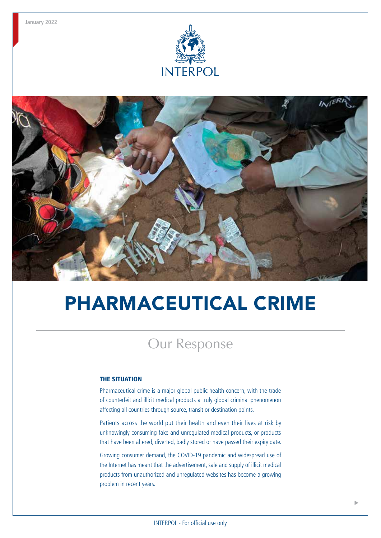



# PHARMACEUTICAL CRIME

# Our Response

#### THE SITUATION

Pharmaceutical crime is a major global public health concern, with the trade of counterfeit and illicit medical products a truly global criminal phenomenon affecting all countries through source, transit or destination points.

Patients across the world put their health and even their lives at risk by unknowingly consuming fake and unregulated medical products, or products that have been altered, diverted, badly stored or have passed their expiry date.

Growing consumer demand, the COVID-19 pandemic and widespread use of the Internet has meant that the advertisement, sale and supply of illicit medical products from unauthorized and unregulated websites has become a growing problem in recent years.